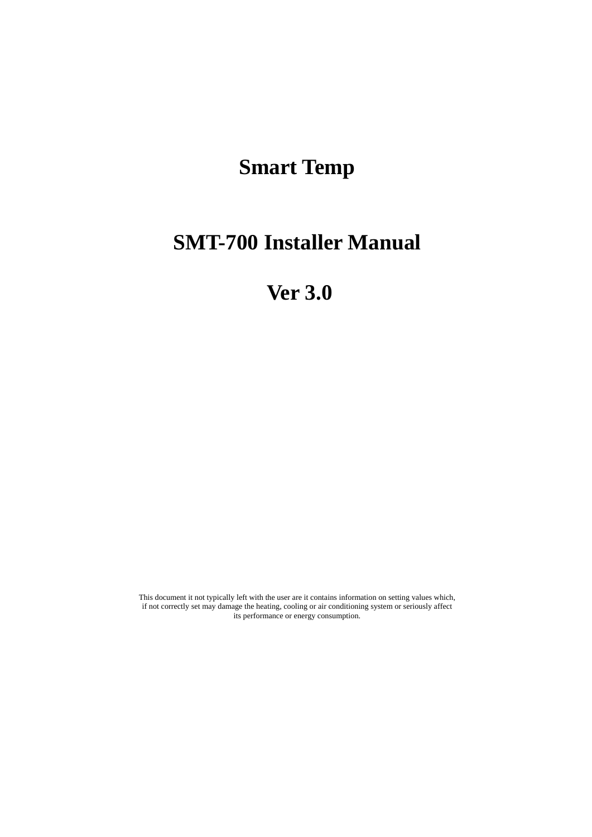# **Smart Temp**

# **SMT-700 Installer Manual**

# **Ver 3.0**

This document it not typically left with the user are it contains information on setting values which, if not correctly set may damage the heating, cooling or air conditioning system or seriously affect its performance or energy consumption.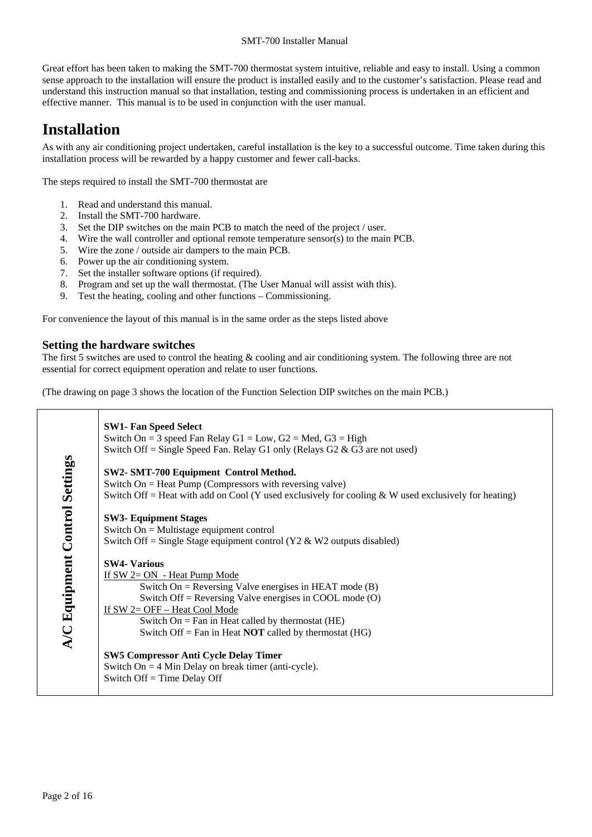Great effort has been taken to making the SMT-700 thermostat system intuitive, reliable and easy to install. Using a common sense approach to the installation will ensure the product is installed easily and to the customer's satisfaction. Please read and understand this instruction manual so that installation, testing and commissioning process is undertaken in an efficient and effective manner. This manual is to be used in conjunction with the user manual.

# **Installation**

As with any air conditioning project undertaken, careful installation is the key to a successful outcome. Time taken during this installation process will be rewarded by a happy customer and fewer call-backs.

The steps required to install the SMT-700 thermostat are

- 1. Read and understand this manual.
- 2. Install the SMT-700 hardware.
- 3. Set the DIP switches on the main PCB to match the need of the project / user.
- 4. Wire the wall controller and optional remote temperature sensor(s) to the main PCB.
- 5. Wire the zone / outside air dampers to the main PCB.
- 6. Power up the air conditioning system.
- 7. Set the installer software options (if required).
- 8. Program and set up the wall thermostat. (The User Manual will assist with this).
- 9. Test the heating, cooling and other functions Commissioning.

For convenience the layout of this manual is in the same order as the steps listed above

### **Setting the hardware switches**

The first 5 switches are used to control the heating & cooling and air conditioning system. The following three are not essential for correct equipment operation and relate to user functions.

(The drawing on page 3 shows the location of the Function Selection DIP switches on the main PCB.)

|                                | <b>SW1- Fan Speed Select</b><br>Switch On = 3 speed Fan Relay G1 = Low, G2 = Med, G3 = High<br>Switch Off = Single Speed Fan. Relay G1 only (Relays G2 & G3 are not used)                                                                                                                                                                |
|--------------------------------|------------------------------------------------------------------------------------------------------------------------------------------------------------------------------------------------------------------------------------------------------------------------------------------------------------------------------------------|
|                                | SW2- SMT-700 Equipment Control Method.<br>Switch $On = Heat$ Pump (Compressors with reversing valve)<br>Switch Off = Heat with add on Cool (Y used exclusively for cooling $&$ W used exclusively for heating)                                                                                                                           |
|                                | <b>SW3- Equipment Stages</b><br>Switch $On = Multistage equipment control$<br>Switch Off = Single Stage equipment control ( $Y2 \& W2$ outputs disabled)                                                                                                                                                                                 |
| A/C Equipment Control Settings | <b>SW4- Various</b><br>If $SW 2=ON$ - Heat Pump Mode<br>Switch On = Reversing Valve energises in HEAT mode $(B)$<br>Switch Off = Reversing Valve energises in COOL mode $(O)$<br>If SW 2= OFF - Heat Cool Mode<br>Switch On = Fan in Heat called by thermostat $(HE)$<br>Switch Off = Fan in Heat <b>NOT</b> called by thermostat $(HG)$ |
|                                | <b>SW5 Compressor Anti Cycle Delay Timer</b><br>Switch On = $4$ Min Delay on break timer (anti-cycle).<br>Switch $Off = Time$ Delay Off                                                                                                                                                                                                  |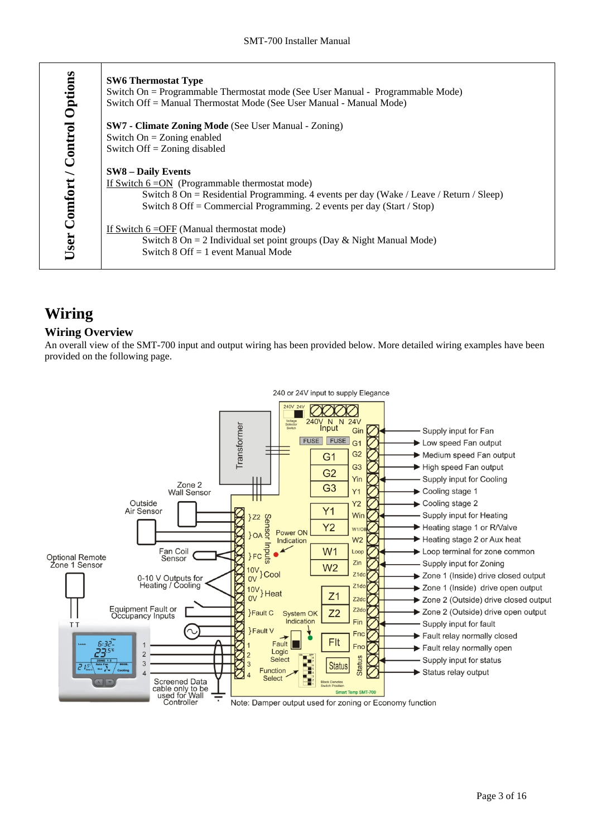| Options           | <b>SW6 Thermostat Type</b><br>Switch On = Programmable Thermostat mode (See User Manual - Programmable Mode) |
|-------------------|--------------------------------------------------------------------------------------------------------------|
|                   | Switch Off = Manual Thermostat Mode (See User Manual - Manual Mode)                                          |
|                   | <b>SW7 - Climate Zoning Mode</b> (See User Manual - Zoning)                                                  |
|                   | Switch $On = Zoning$ enabled                                                                                 |
| Comfort / Control | Switch Off $=$ Zoning disabled                                                                               |
|                   | <b>SW8 – Daily Events</b>                                                                                    |
|                   | If Switch $6 = ON$ (Programmable thermostat mode)                                                            |
|                   | Switch 8 On = Residential Programming. 4 events per day (Wake / Leave / Return / Sleep)                      |
|                   | Switch $8 \text{ Off} = \text{Commercial Programming}$ . 2 events per day (Start / Stop)                     |
|                   | If Switch $6 =$ OFF (Manual thermostat mode)                                                                 |
|                   | Switch $8 \text{ On} = 2$ Individual set point groups (Day & Night Manual Mode)                              |
| User              | Switch $8 \text{ Off} = 1$ event Manual Mode                                                                 |

# **Wiring**

### **Wiring Overview**

An overall view of the SMT-700 input and output wiring has been provided below. More detailed wiring examples have been provided on the following page.

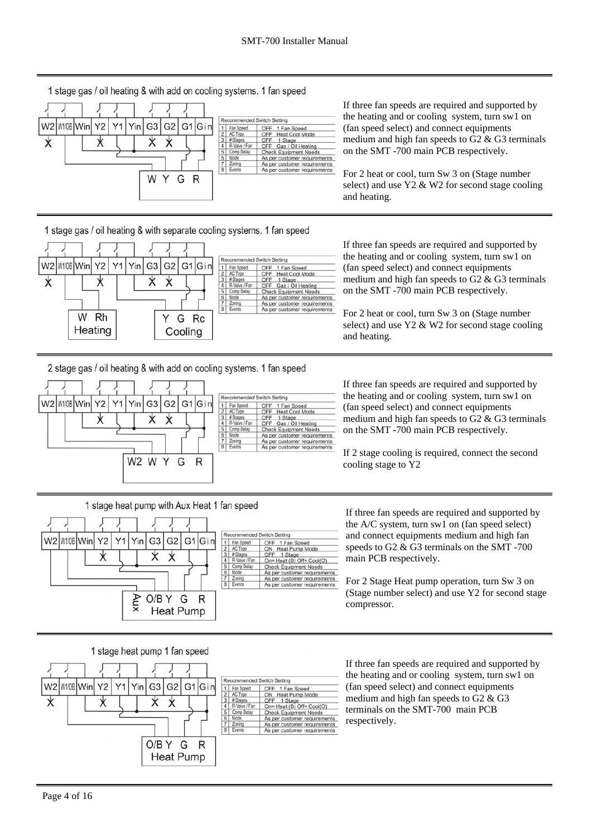1 stage gas / oil heating & with add on cooling systems. 1 fan speed



If three fan speeds are required and supported by the heating and or cooling system, turn sw1 on (fan speed select) and connect equipments medium and high fan speeds to G2 & G3 terminals on the SMT -700 main PCB respectively.

For 2 heat or cool, turn Sw 3 on (Stage number select) and use Y2 & W2 for second stage cooling and heating.

### 1 stage gas / oil heating & with separate cooling systems. 1 fan speed



If three fan speeds are required and supported by the heating and or cooling system, turn sw1 on (fan speed select) and connect equipments medium and high fan speeds to G2 & G3 terminals on the SMT -700 main PCB respectively.

For 2 heat or cool, turn Sw 3 on (Stage number select) and use Y2 & W2 for second stage cooling and heating.

2 stage gas / oil heating & with add on cooling systems. 1 fan speed

1 stage heat pump with Aux Heat 1 fan speed

G1 Gin

R



Yin G<sub>3</sub> G<sub>2</sub>

**Aux** 

 $\star$  $\star$ 

O/B Y G

**Heat Pump** 

 $Y1$ 

#### Recommended Switch Setting 1 Fan Speed<br>2 AC Type<br>3 # Stages OFF 1 Fan Speed<br>OFF Heat Cool Mode OFF Hata<br>OFF Gas / Oil Heating<br>Check Equipment Needs<br>As per customer requirements R-Valve / Fan R-Valve / Fan<br>Comp Delay<br>Mode As per customer requirements<br>As per customer requirements

OFF 1 Fan Speed<br>
ON Heat Pump Mode<br>
OFF 1 Stage

OFF 1 Stage<br>On= Heat (B) Off= Cool(O)<br>Check Equipment Needs As per customer requirements As per customer requirements<br>As per customer requirements

Recommended Switch Setting

1 Fan Speed<br>2 AC Type<br>3 # Stages

AC Type<br># Stages<br>R-Valve / Fan<br>Comp Delay<br>Mode

If three fan speeds are required and supported by the heating and or cooling system, turn sw1 on (fan speed select) and connect equipments medium and high fan speeds to G2 & G3 terminals on the SMT -700 main PCB respectively.

If 2 stage cooling is required, connect the second cooling stage to Y2

### If three fan speeds are required and supported by the A/C system, turn sw1 on (fan speed select) and connect equipments medium and high fan speeds to G2 & G3 terminals on the SMT -700 main PCB respectively.

For 2 Stage Heat pump operation, turn Sw 3 on (Stage number select) and use Y2 for second stage compressor.





If three fan speeds are required and supported by the heating and or cooling system, turn sw1 on (fan speed select) and connect equipments medium and high fan speeds to G2 & G3 terminals on the SMT-700 main PCB respectively.

W2 W1/0B Win

 $Y<sub>2</sub>$ 

 $\star$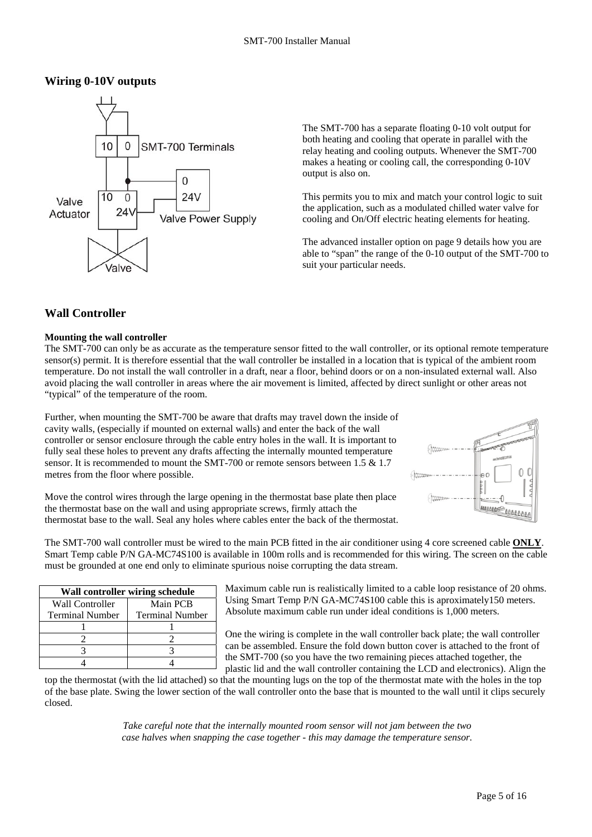### **Wiring 0-10V outputs**



The SMT-700 has a separate floating 0-10 volt output for both heating and cooling that operate in parallel with the relay heating and cooling outputs. Whenever the SMT-700 makes a heating or cooling call, the corresponding 0-10V output is also on.

This permits you to mix and match your control logic to suit the application, such as a modulated chilled water valve for cooling and On/Off electric heating elements for heating.

The advanced installer option on page 9 details how you are able to "span" the range of the 0-10 output of the SMT-700 to suit your particular needs.

### **Wall Controller**

### **Mounting the wall controller**

The SMT-700 can only be as accurate as the temperature sensor fitted to the wall controller, or its optional remote temperature sensor(s) permit. It is therefore essential that the wall controller be installed in a location that is typical of the ambient room temperature. Do not install the wall controller in a draft, near a floor, behind doors or on a non-insulated external wall. Also avoid placing the wall controller in areas where the air movement is limited, affected by direct sunlight or other areas not "typical" of the temperature of the room.

Further, when mounting the SMT-700 be aware that drafts may travel down the inside of cavity walls, (especially if mounted on external walls) and enter the back of the wall controller or sensor enclosure through the cable entry holes in the wall. It is important to fully seal these holes to prevent any drafts affecting the internally mounted temperature sensor. It is recommended to mount the SMT-700 or remote sensors between 1.5 & 1.7 metres from the floor where possible.



Move the control wires through the large opening in the thermostat base plate then place the thermostat base on the wall and using appropriate screws, firmly attach the thermostat base to the wall. Seal any holes where cables enter the back of the thermostat.

The SMT-700 wall controller must be wired to the main PCB fitted in the air conditioner using 4 core screened cable **ONLY**. Smart Temp cable P/N GA-MC74S100 is available in 100m rolls and is recommended for this wiring. The screen on the cable must be grounded at one end only to eliminate spurious noise corrupting the data stream.

| Wall controller wiring schedule |                        |  |  |  |  |  |  |  |  |
|---------------------------------|------------------------|--|--|--|--|--|--|--|--|
| Wall Controller                 | Main PCB               |  |  |  |  |  |  |  |  |
| <b>Terminal Number</b>          | <b>Terminal Number</b> |  |  |  |  |  |  |  |  |
|                                 |                        |  |  |  |  |  |  |  |  |
|                                 |                        |  |  |  |  |  |  |  |  |
|                                 |                        |  |  |  |  |  |  |  |  |
|                                 |                        |  |  |  |  |  |  |  |  |

Maximum cable run is realistically limited to a cable loop resistance of 20 ohms. Using Smart Temp P/N GA-MC74S100 cable this is aproximately150 meters. Absolute maximum cable run under ideal conditions is 1,000 meters.

One the wiring is complete in the wall controller back plate; the wall controller can be assembled. Ensure the fold down button cover is attached to the front of the SMT-700 (so you have the two remaining pieces attached together, the plastic lid and the wall controller containing the LCD and electronics). Align the

top the thermostat (with the lid attached) so that the mounting lugs on the top of the thermostat mate with the holes in the top of the base plate. Swing the lower section of the wall controller onto the base that is mounted to the wall until it clips securely closed.

> *Take careful note that the internally mounted room sensor will not jam between the two case halves when snapping the case together - this may damage the temperature sensor.*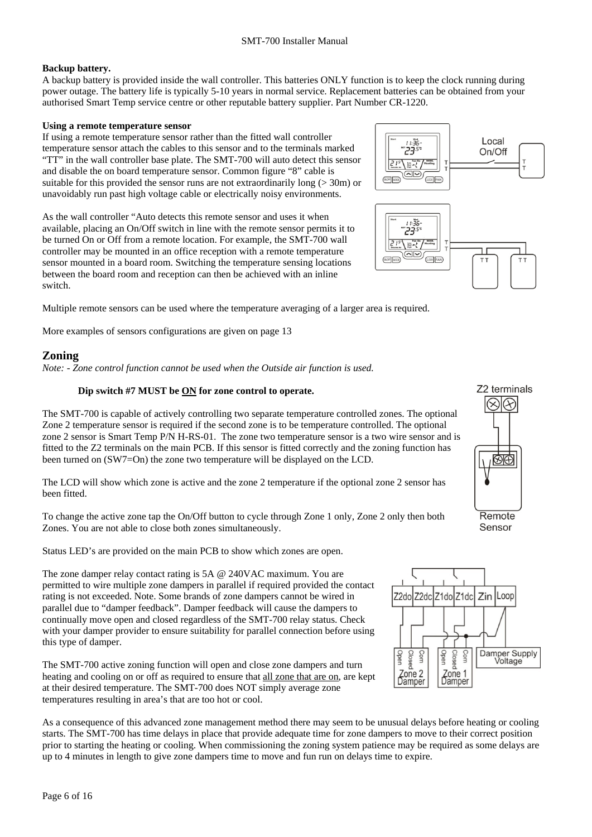### **Backup battery.**

A backup battery is provided inside the wall controller. This batteries ONLY function is to keep the clock running during power outage. The battery life is typically 5-10 years in normal service. Replacement batteries can be obtained from your authorised Smart Temp service centre or other reputable battery supplier. Part Number CR-1220.

### **Using a remote temperature sensor**

If using a remote temperature sensor rather than the fitted wall controller temperature sensor attach the cables to this sensor and to the terminals marked "TT" in the wall controller base plate. The SMT-700 will auto detect this sensor and disable the on board temperature sensor. Common figure "8" cable is suitable for this provided the sensor runs are not extraordinarily long ( $>$  30m) or unavoidably run past high voltage cable or electrically noisy environments.

As the wall controller "Auto detects this remote sensor and uses it when available, placing an On/Off switch in line with the remote sensor permits it to be turned On or Off from a remote location. For example, the SMT-700 wall controller may be mounted in an office reception with a remote temperature sensor mounted in a board room. Switching the temperature sensing locations between the board room and reception can then be achieved with an inline switch.

Multiple remote sensors can be used where the temperature averaging of a larger area is required.

More examples of sensors configurations are given on page 13

## **Zoning**

*Note: - Zone control function cannot be used when the Outside air function is used.* 

### **Dip switch #7 MUST be ON for zone control to operate.**

The SMT-700 is capable of actively controlling two separate temperature controlled zones. The optional Zone 2 temperature sensor is required if the second zone is to be temperature controlled. The optional zone 2 sensor is Smart Temp P/N H-RS-01. The zone two temperature sensor is a two wire sensor and is fitted to the Z2 terminals on the main PCB. If this sensor is fitted correctly and the zoning function has been turned on (SW7=On) the zone two temperature will be displayed on the LCD.

The LCD will show which zone is active and the zone 2 temperature if the optional zone 2 sensor has been fitted.

To change the active zone tap the On/Off button to cycle through Zone 1 only, Zone 2 only then both Zones. You are not able to close both zones simultaneously.

Status LED's are provided on the main PCB to show which zones are open.

The zone damper relay contact rating is 5A @ 240VAC maximum. You are permitted to wire multiple zone dampers in parallel if required provided the contact rating is not exceeded. Note. Some brands of zone dampers cannot be wired in parallel due to "damper feedback". Damper feedback will cause the dampers to continually move open and closed regardless of the SMT-700 relay status. Check with your damper provider to ensure suitability for parallel connection before using this type of damper.

The SMT-700 active zoning function will open and close zone dampers and turn heating and cooling on or off as required to ensure that all zone that are on, are kept at their desired temperature. The SMT-700 does NOT simply average zone temperatures resulting in area's that are too hot or cool.

As a consequence of this advanced zone management method there may seem to be unusual delays before heating or cooling starts. The SMT-700 has time delays in place that provide adequate time for zone dampers to move to their correct position prior to starting the heating or cooling. When commissioning the zoning system patience may be required as some delays are up to 4 minutes in length to give zone dampers time to move and fun run on delays time to expire.





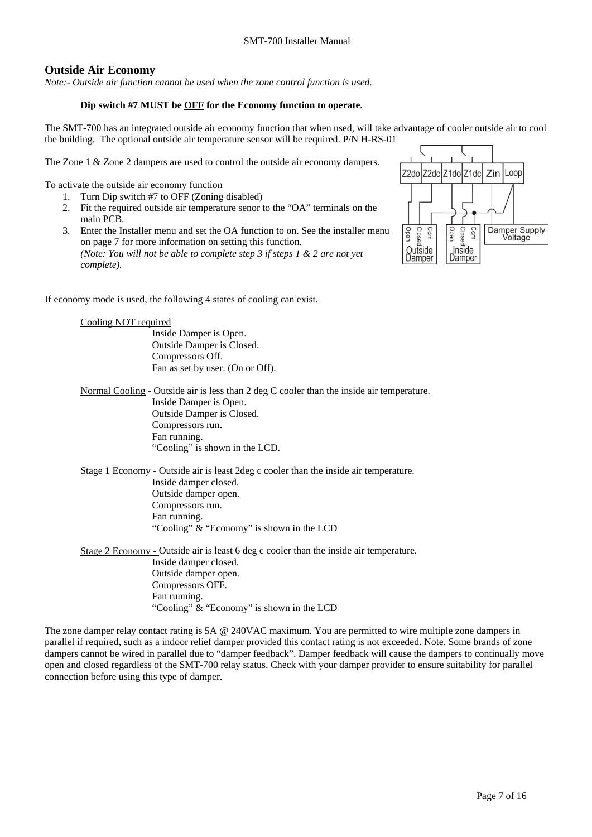### **Outside Air Economy**

*Note:- Outside air function cannot be used when the zone control function is used.* 

### **Dip switch #7 MUST be OFF for the Economy function to operate.**

The SMT-700 has an integrated outside air economy function that when used, will take advantage of cooler outside air to cool the building. The optional outside air temperature sensor will be required. P/N H-RS-01

The Zone 1 & Zone 2 dampers are used to control the outside air economy dampers.

To activate the outside air economy function

- 1. Turn Dip switch #7 to OFF (Zoning disabled)
- 2. Fit the required outside air temperature senor to the "OA" terminals on the main PCB.
- 3. Enter the Installer menu and set the OA function to on. See the installer menu on page 7 for more information on setting this function. *(Note: You will not be able to complete step 3 if steps 1 & 2 are not yet complete).*



zdolZ2dclZ1dolZ1dc

Zin lLoor

If economy mode is used, the following 4 states of cooling can exist.

### Cooling NOT required Inside Damper is Open. Outside Damper is Closed. Compressors Off. Fan as set by user. (On or Off). Normal Cooling - Outside air is less than 2 deg C cooler than the inside air temperature. Inside Damper is Open. Outside Damper is Closed. Compressors run. Fan running. "Cooling" is shown in the LCD. Stage 1 Economy - Outside air is least 2deg c cooler than the inside air temperature. Inside damper closed. Outside damper open. Compressors run. Fan running. "Cooling" & "Economy" is shown in the LCD Stage 2 Economy - Outside air is least 6 deg c cooler than the inside air temperature. Inside damper closed.

Outside damper open. Compressors OFF. Fan running. "Cooling" & "Economy" is shown in the LCD

The zone damper relay contact rating is 5A @ 240VAC maximum. You are permitted to wire multiple zone dampers in parallel if required, such as a indoor relief damper provided this contact rating is not exceeded. Note. Some brands of zone dampers cannot be wired in parallel due to "damper feedback". Damper feedback will cause the dampers to continually move open and closed regardless of the SMT-700 relay status. Check with your damper provider to ensure suitability for parallel connection before using this type of damper.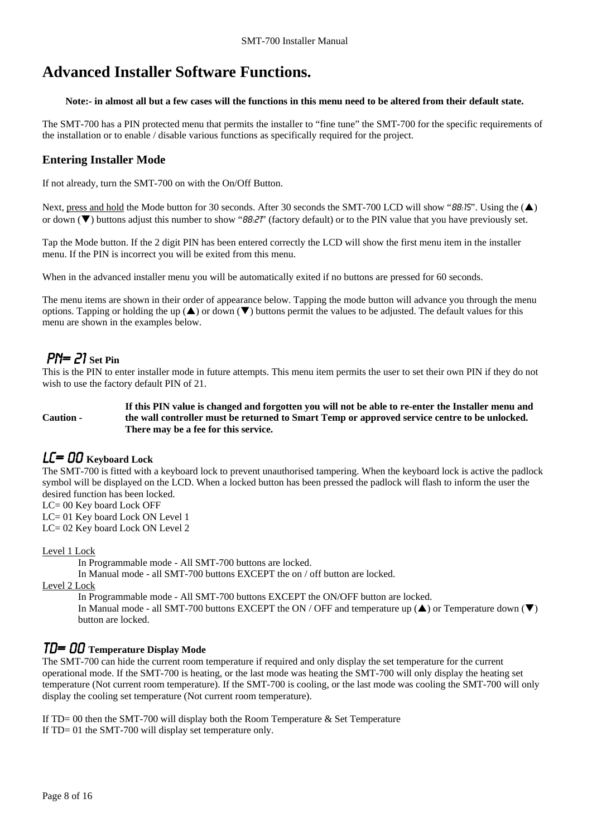# **Advanced Installer Software Functions.**

### **Note:- in almost all but a few cases will the functions in this menu need to be altered from their default state.**

The SMT-700 has a PIN protected menu that permits the installer to "fine tune" the SMT-700 for the specific requirements of the installation or to enable / disable various functions as specifically required for the project.

## **Entering Installer Mode**

If not already, turn the SMT-700 on with the On/Off Button.

Next, press and hold the Mode button for 30 seconds. After 30 seconds the SMT-700 LCD will show "88:15". Using the  $(\triangle)$ or down  $(\blacktriangledown)$  buttons adjust this number to show " $B.27$ " (factory default) or to the PIN value that you have previously set.

Tap the Mode button. If the 2 digit PIN has been entered correctly the LCD will show the first menu item in the installer menu. If the PIN is incorrect you will be exited from this menu.

When in the advanced installer menu you will be automatically exited if no buttons are pressed for 60 seconds.

The menu items are shown in their order of appearance below. Tapping the mode button will advance you through the menu options. Tapping or holding the up ( $\blacktriangle$ ) or down ( $\nabla$ ) buttons permit the values to be adjusted. The default values for this menu are shown in the examples below.

# PN= 21 **Set Pin**

This is the PIN to enter installer mode in future attempts. This menu item permits the user to set their own PIN if they do not wish to use the factory default PIN of 21.

**Caution - If this PIN value is changed and forgotten you will not be able to re-enter the Installer menu and the wall controller must be returned to Smart Temp or approved service centre to be unlocked. There may be a fee for this service.** 

# LC= 00 **Keyboard Lock**

The SMT-700 is fitted with a keyboard lock to prevent unauthorised tampering. When the keyboard lock is active the padlock symbol will be displayed on the LCD. When a locked button has been pressed the padlock will flash to inform the user the desired function has been locked.

LC= 00 Key board Lock OFF

LC= 01 Key board Lock ON Level 1 LC= 02 Key board Lock ON Level 2

Level 1 Lock

In Programmable mode - All SMT-700 buttons are locked.

In Manual mode - all SMT-700 buttons EXCEPT the on / off button are locked.

Level 2 Lock

In Programmable mode - All SMT-700 buttons EXCEPT the ON/OFF button are locked.

In Manual mode - all SMT-700 buttons EXCEPT the ON / OFF and temperature up  $(\triangle)$  or Temperature down  $(\blacktriangledown)$ button are locked.

# Td= 00 **Temperature Display Mode**

The SMT-700 can hide the current room temperature if required and only display the set temperature for the current operational mode. If the SMT-700 is heating, or the last mode was heating the SMT-700 will only display the heating set temperature (Not current room temperature). If the SMT-700 is cooling, or the last mode was cooling the SMT-700 will only display the cooling set temperature (Not current room temperature).

If  $TD = 00$  then the SMT-700 will display both the Room Temperature & Set Temperature If TD= 01 the SMT-700 will display set temperature only.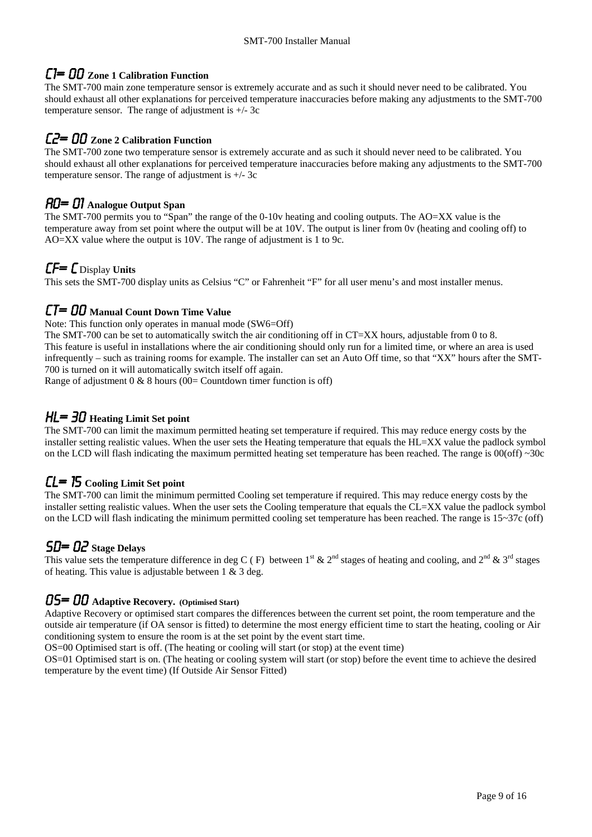## C1= 00 **Zone 1 Calibration Function**

The SMT-700 main zone temperature sensor is extremely accurate and as such it should never need to be calibrated. You should exhaust all other explanations for perceived temperature inaccuracies before making any adjustments to the SMT-700 temperature sensor. The range of adjustment is +/- 3c

### C2= 00 **Zone 2 Calibration Function**

The SMT-700 zone two temperature sensor is extremely accurate and as such it should never need to be calibrated. You should exhaust all other explanations for perceived temperature inaccuracies before making any adjustments to the SMT-700 temperature sensor. The range of adjustment is  $+/-$  3c

# AO= 01 **Analogue Output Span**

The SMT-700 permits you to "Span" the range of the 0-10v heating and cooling outputs. The AO=XX value is the temperature away from set point where the output will be at 10V. The output is liner from 0v (heating and cooling off) to AO=XX value where the output is 10V. The range of adjustment is 1 to 9c.

# CF= C Display **Units**

This sets the SMT-700 display units as Celsius "C" or Fahrenheit "F" for all user menu's and most installer menus.

### CT= 00 **Manual Count Down Time Value**

Note: This function only operates in manual mode (SW6=Off)

The SMT-700 can be set to automatically switch the air conditioning off in CT=XX hours, adjustable from 0 to 8. This feature is useful in installations where the air conditioning should only run for a limited time, or where an area is used infrequently – such as training rooms for example. The installer can set an Auto Off time, so that "XX" hours after the SMT-700 is turned on it will automatically switch itself off again.

Range of adjustment  $0 \& 8$  hours (00= Countdown timer function is off)

# HL= 30 **Heating Limit Set point**

The SMT-700 can limit the maximum permitted heating set temperature if required. This may reduce energy costs by the installer setting realistic values. When the user sets the Heating temperature that equals the HL=XX value the padlock symbol on the LCD will flash indicating the maximum permitted heating set temperature has been reached. The range is  $00(off) \sim 30c$ 

# CL= 15 **Cooling Limit Set point**

The SMT-700 can limit the minimum permitted Cooling set temperature if required. This may reduce energy costs by the installer setting realistic values. When the user sets the Cooling temperature that equals the CL=XX value the padlock symbol on the LCD will flash indicating the minimum permitted cooling set temperature has been reached. The range is 15~37c (off)

# SD= 02 **Stage Delays**

This value sets the temperature difference in deg C (F) between  $1^{st}$  &  $2^{nd}$  stages of heating and cooling, and  $2^{nd}$  &  $3^{rd}$  stages of heating. This value is adjustable between  $1 \& 3 \text{ deg.}$ 

# OS= 00 **Adaptive Recovery. (Optimised Start)**

Adaptive Recovery or optimised start compares the differences between the current set point, the room temperature and the outside air temperature (if OA sensor is fitted) to determine the most energy efficient time to start the heating, cooling or Air conditioning system to ensure the room is at the set point by the event start time.

OS=00 Optimised start is off. (The heating or cooling will start (or stop) at the event time)

OS=01 Optimised start is on. (The heating or cooling system will start (or stop) before the event time to achieve the desired temperature by the event time) (If Outside Air Sensor Fitted)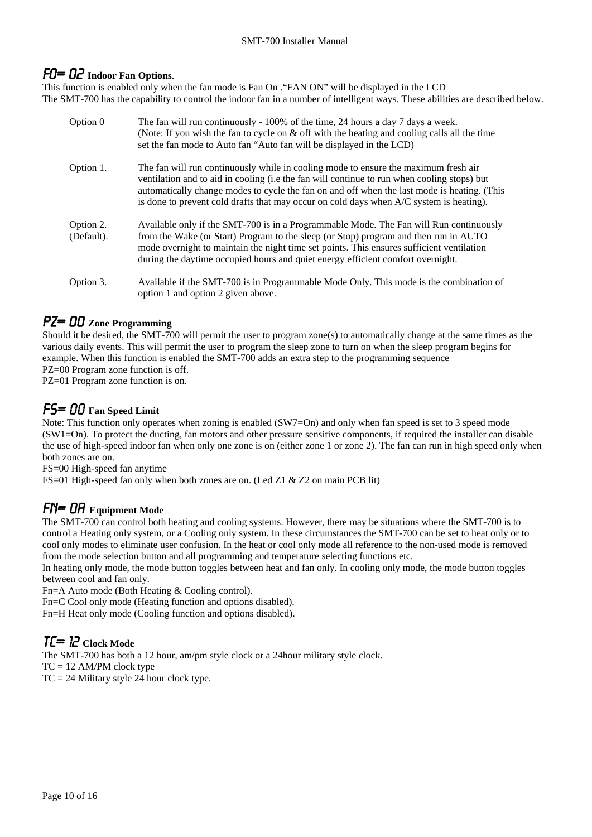# FO= 02 **Indoor Fan Options**.

This function is enabled only when the fan mode is Fan On ."FAN ON" will be displayed in the LCD The SMT-700 has the capability to control the indoor fan in a number of intelligent ways. These abilities are described below.

| Option 0                | The fan will run continuously - 100% of the time, 24 hours a day 7 days a week.<br>(Note: If you wish the fan to cycle on $\&$ off with the heating and cooling calls all the time<br>set the fan mode to Auto fan "Auto fan will be displayed in the LCD)                                                                                                                   |
|-------------------------|------------------------------------------------------------------------------------------------------------------------------------------------------------------------------------------------------------------------------------------------------------------------------------------------------------------------------------------------------------------------------|
| Option 1.               | The fan will run continuously while in cooling mode to ensure the maximum fresh air<br>ventilation and to aid in cooling (i.e the fan will continue to run when cooling stops) but<br>automatically change modes to cycle the fan on and off when the last mode is heating. (This<br>is done to prevent cold drafts that may occur on cold days when A/C system is heating). |
| Option 2.<br>(Default). | Available only if the SMT-700 is in a Programmable Mode. The Fan will Run continuously<br>from the Wake (or Start) Program to the sleep (or Stop) program and then run in AUTO<br>mode overnight to maintain the night time set points. This ensures sufficient ventilation<br>during the daytime occupied hours and quiet energy efficient comfort overnight.               |
| Option 3.               | Available if the SMT-700 is in Programmable Mode Only. This mode is the combination of<br>option 1 and option 2 given above.                                                                                                                                                                                                                                                 |

# PZ= 00 **Zone Programming**

Should it be desired, the SMT-700 will permit the user to program zone(s) to automatically change at the same times as the various daily events. This will permit the user to program the sleep zone to turn on when the sleep program begins for example. When this function is enabled the SMT-700 adds an extra step to the programming sequence PZ=00 Program zone function is off.

PZ=01 Program zone function is on.

# FS= 00 **Fan Speed Limit**

Note: This function only operates when zoning is enabled (SW7=On) and only when fan speed is set to 3 speed mode (SW1=On). To protect the ducting, fan motors and other pressure sensitive components, if required the installer can disable the use of high-speed indoor fan when only one zone is on (either zone 1 or zone 2). The fan can run in high speed only when both zones are on.

FS=00 High-speed fan anytime

FS=01 High-speed fan only when both zones are on. (Led Z1 & Z2 on main PCB lit)

# Fn= 0A **Equipment Mode**

The SMT-700 can control both heating and cooling systems. However, there may be situations where the SMT-700 is to control a Heating only system, or a Cooling only system. In these circumstances the SMT-700 can be set to heat only or to cool only modes to eliminate user confusion. In the heat or cool only mode all reference to the non-used mode is removed from the mode selection button and all programming and temperature selecting functions etc.

In heating only mode, the mode button toggles between heat and fan only. In cooling only mode, the mode button toggles between cool and fan only.

Fn=A Auto mode (Both Heating & Cooling control).

Fn=C Cool only mode (Heating function and options disabled).

Fn=H Heat only mode (Cooling function and options disabled).

# $T\mathcal{L} = IZ$  Clock Mode

The SMT-700 has both a 12 hour, am/pm style clock or a 24hour military style clock.  $TC = 12$  AM/PM clock type  $TC = 24$  Military style 24 hour clock type.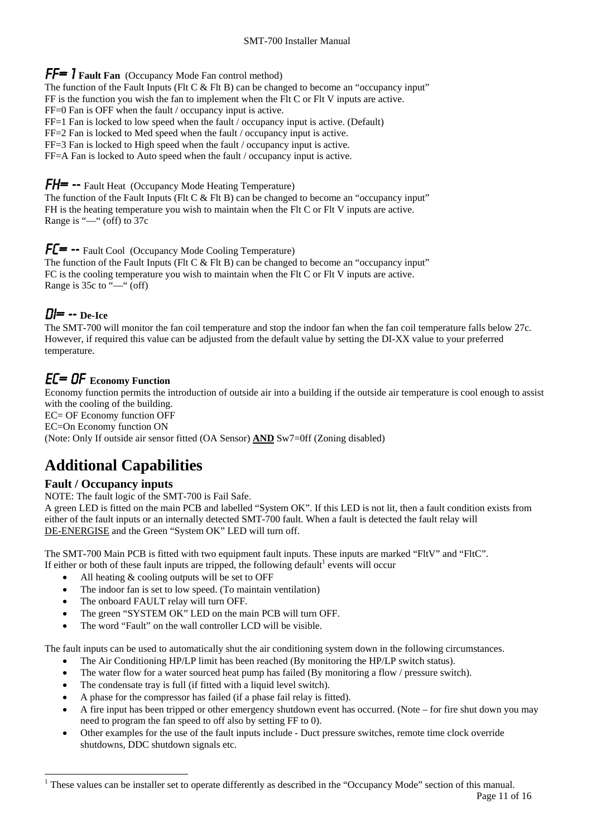FF= 1 **Fault Fan** (Occupancy Mode Fan control method)

The function of the Fault Inputs (Flt C  $&$  Flt B) can be changed to become an "occupancy input"

FF is the function you wish the fan to implement when the Flt C or Flt V inputs are active.

FF=0 Fan is OFF when the fault / occupancy input is active.

FF=1 Fan is locked to low speed when the fault / occupancy input is active. (Default)

FF=2 Fan is locked to Med speed when the fault / occupancy input is active.

FF=3 Fan is locked to High speed when the fault / occupancy input is active.

FF=A Fan is locked to Auto speed when the fault / occupancy input is active.

**FH= --** Fault Heat (Occupancy Mode Heating Temperature)

The function of the Fault Inputs (Flt C  $&$  Flt B) can be changed to become an "occupancy input" FH is the heating temperature you wish to maintain when the Flt C or Flt V inputs are active. Range is "—" (off) to 37c

### $FE = -F$  Fault Cool (Occupancy Mode Cooling Temperature)

The function of the Fault Inputs (Flt C  $&$  Flt B) can be changed to become an "occupancy input" FC is the cooling temperature you wish to maintain when the Flt C or Flt V inputs are active. Range is 35c to "—" (off)

# DI= -- **De-Ice**

The SMT-700 will monitor the fan coil temperature and stop the indoor fan when the fan coil temperature falls below 27c. However, if required this value can be adjusted from the default value by setting the DI-XX value to your preferred temperature.

# EC= 0F **Economy Function**

Economy function permits the introduction of outside air into a building if the outside air temperature is cool enough to assist with the cooling of the building.

EC= OF Economy function OFF

EC=On Economy function ON

(Note: Only If outside air sensor fitted (OA Sensor) **AND** Sw7=0ff (Zoning disabled)

# **Additional Capabilities**

### **Fault / Occupancy inputs**

-

NOTE: The fault logic of the SMT-700 is Fail Safe.

A green LED is fitted on the main PCB and labelled "System OK". If this LED is not lit, then a fault condition exists from either of the fault inputs or an internally detected SMT-700 fault. When a fault is detected the fault relay will DE-ENERGISE and the Green "System OK" LED will turn off.

The SMT-700 Main PCB is fitted with two equipment fault inputs. These inputs are marked "FltV" and "FltC". If either or both of these fault inputs are tripped, the following default<sup>1</sup> events will occur

- All heating & cooling outputs will be set to OFF
- The indoor fan is set to low speed. (To maintain ventilation)
- The onboard FAULT relay will turn OFF.
- The green "SYSTEM OK" LED on the main PCB will turn OFF.
- The word "Fault" on the wall controller LCD will be visible.

The fault inputs can be used to automatically shut the air conditioning system down in the following circumstances.

- The Air Conditioning HP/LP limit has been reached (By monitoring the HP/LP switch status).
- The water flow for a water sourced heat pump has failed (By monitoring a flow / pressure switch).
- The condensate tray is full (if fitted with a liquid level switch).
- A phase for the compressor has failed (if a phase fail relay is fitted).
- A fire input has been tripped or other emergency shutdown event has occurred. (Note for fire shut down you may need to program the fan speed to off also by setting FF to 0).
- Other examples for the use of the fault inputs include Duct pressure switches, remote time clock override shutdowns, DDC shutdown signals etc.

<sup>&</sup>lt;sup>1</sup> These values can be installer set to operate differently as described in the "Occupancy Mode" section of this manual.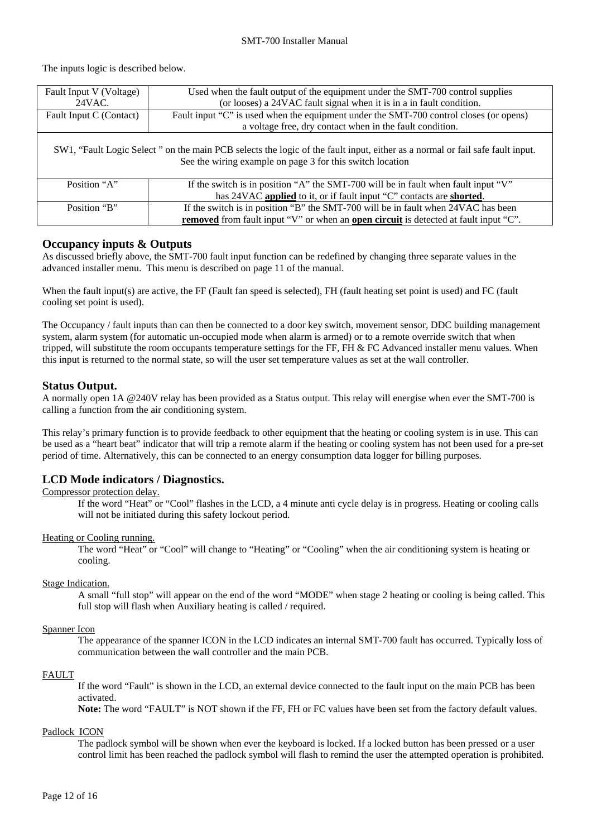### SMT-700 Installer Manual

The inputs logic is described below.

| Fault Input V (Voltage)                                                                                                                                                                   | Used when the fault output of the equipment under the SMT-700 control supplies                     |  |  |  |  |  |  |  |
|-------------------------------------------------------------------------------------------------------------------------------------------------------------------------------------------|----------------------------------------------------------------------------------------------------|--|--|--|--|--|--|--|
| 24VAC.                                                                                                                                                                                    | (or looses) a 24VAC fault signal when it is in a in fault condition.                               |  |  |  |  |  |  |  |
| Fault Input C (Contact)                                                                                                                                                                   | Fault input "C" is used when the equipment under the SMT-700 control closes (or opens)             |  |  |  |  |  |  |  |
|                                                                                                                                                                                           | a voltage free, dry contact when in the fault condition.                                           |  |  |  |  |  |  |  |
| SW1, "Fault Logic Select" on the main PCB selects the logic of the fault input, either as a normal or fail safe fault input.<br>See the wiring example on page 3 for this switch location |                                                                                                    |  |  |  |  |  |  |  |
| Position "A"                                                                                                                                                                              | If the switch is in position "A" the SMT-700 will be in fault when fault input " $V$ "             |  |  |  |  |  |  |  |
|                                                                                                                                                                                           | has 24VAC applied to it, or if fault input "C" contacts are shorted.                               |  |  |  |  |  |  |  |
| Position "B"                                                                                                                                                                              | If the switch is in position "B" the SMT-700 will be in fault when 24VAC has been                  |  |  |  |  |  |  |  |
|                                                                                                                                                                                           | <b>removed</b> from fault input "V" or when an <b>open circuit</b> is detected at fault input "C". |  |  |  |  |  |  |  |

### **Occupancy inputs & Outputs**

As discussed briefly above, the SMT-700 fault input function can be redefined by changing three separate values in the advanced installer menu. This menu is described on page 11 of the manual.

When the fault input(s) are active, the FF (Fault fan speed is selected), FH (fault heating set point is used) and FC (fault cooling set point is used).

The Occupancy / fault inputs than can then be connected to a door key switch, movement sensor, DDC building management system, alarm system (for automatic un-occupied mode when alarm is armed) or to a remote override switch that when tripped, will substitute the room occupants temperature settings for the FF, FH & FC Advanced installer menu values. When this input is returned to the normal state, so will the user set temperature values as set at the wall controller.

### **Status Output.**

A normally open 1A @240V relay has been provided as a Status output. This relay will energise when ever the SMT-700 is calling a function from the air conditioning system.

This relay's primary function is to provide feedback to other equipment that the heating or cooling system is in use. This can be used as a "heart beat" indicator that will trip a remote alarm if the heating or cooling system has not been used for a pre-set period of time. Alternatively, this can be connected to an energy consumption data logger for billing purposes.

### **LCD Mode indicators / Diagnostics.**

Compressor protection delay.

If the word "Heat" or "Cool" flashes in the LCD, a 4 minute anti cycle delay is in progress. Heating or cooling calls will not be initiated during this safety lockout period.

### Heating or Cooling running.

The word "Heat" or "Cool" will change to "Heating" or "Cooling" when the air conditioning system is heating or cooling.

### Stage Indication.

A small "full stop" will appear on the end of the word "MODE" when stage 2 heating or cooling is being called. This full stop will flash when Auxiliary heating is called / required.

### Spanner Icon

The appearance of the spanner ICON in the LCD indicates an internal SMT-700 fault has occurred. Typically loss of communication between the wall controller and the main PCB.

### FAULT

If the word "Fault" is shown in the LCD, an external device connected to the fault input on the main PCB has been activated.

**Note:** The word "FAULT" is NOT shown if the FF, FH or FC values have been set from the factory default values.

### Padlock ICON

The padlock symbol will be shown when ever the keyboard is locked. If a locked button has been pressed or a user control limit has been reached the padlock symbol will flash to remind the user the attempted operation is prohibited.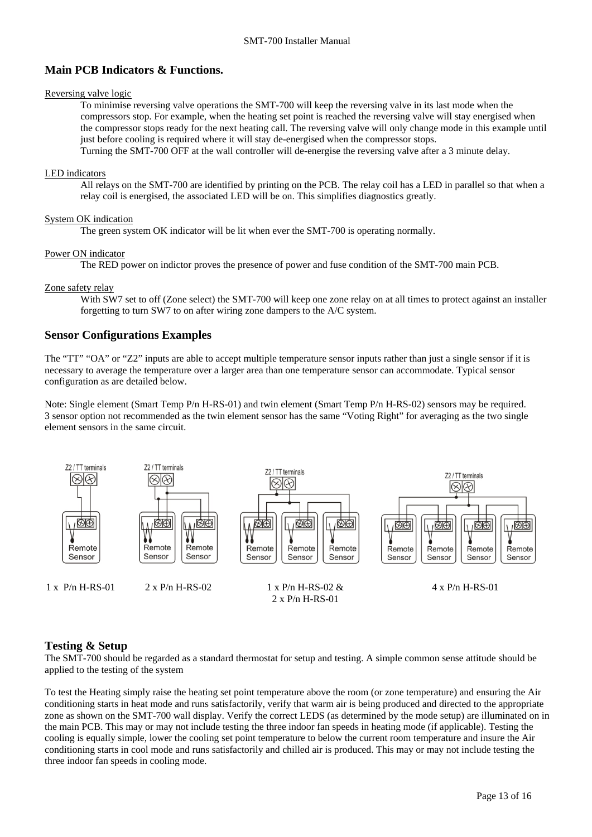### **Main PCB Indicators & Functions.**

#### Reversing valve logic

To minimise reversing valve operations the SMT-700 will keep the reversing valve in its last mode when the compressors stop. For example, when the heating set point is reached the reversing valve will stay energised when the compressor stops ready for the next heating call. The reversing valve will only change mode in this example until just before cooling is required where it will stay de-energised when the compressor stops.

Turning the SMT-700 OFF at the wall controller will de-energise the reversing valve after a 3 minute delay.

#### LED indicators

All relays on the SMT-700 are identified by printing on the PCB. The relay coil has a LED in parallel so that when a relay coil is energised, the associated LED will be on. This simplifies diagnostics greatly.

#### System OK indication

The green system OK indicator will be lit when ever the SMT-700 is operating normally.

#### Power ON indicator

The RED power on indictor proves the presence of power and fuse condition of the SMT-700 main PCB.

#### Zone safety relay

With SW7 set to off (Zone select) the SMT-700 will keep one zone relay on at all times to protect against an installer forgetting to turn SW7 to on after wiring zone dampers to the A/C system.

### **Sensor Configurations Examples**

The "TT" "OA" or "Z2" inputs are able to accept multiple temperature sensor inputs rather than just a single sensor if it is necessary to average the temperature over a larger area than one temperature sensor can accommodate. Typical sensor configuration as are detailed below.

Note: Single element (Smart Temp P/n H-RS-01) and twin element (Smart Temp P/n H-RS-02) sensors may be required. 3 sensor option not recommended as the twin element sensor has the same "Voting Right" for averaging as the two single element sensors in the same circuit.



### **Testing & Setup**

The SMT-700 should be regarded as a standard thermostat for setup and testing. A simple common sense attitude should be applied to the testing of the system

To test the Heating simply raise the heating set point temperature above the room (or zone temperature) and ensuring the Air conditioning starts in heat mode and runs satisfactorily, verify that warm air is being produced and directed to the appropriate zone as shown on the SMT-700 wall display. Verify the correct LEDS (as determined by the mode setup) are illuminated on in the main PCB. This may or may not include testing the three indoor fan speeds in heating mode (if applicable). Testing the cooling is equally simple, lower the cooling set point temperature to below the current room temperature and insure the Air conditioning starts in cool mode and runs satisfactorily and chilled air is produced. This may or may not include testing the three indoor fan speeds in cooling mode.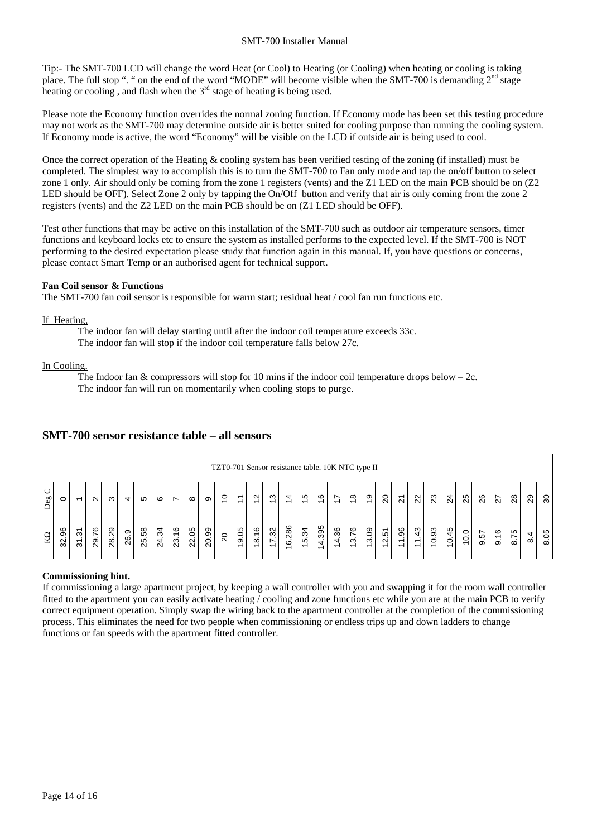Tip:- The SMT-700 LCD will change the word Heat (or Cool) to Heating (or Cooling) when heating or cooling is taking place. The full stop ". " on the end of the word "MODE" will become visible when the SMT-700 is demanding 2<sup>nd</sup> stage heating or cooling, and flash when the  $3<sup>rd</sup>$  stage of heating is being used.

Please note the Economy function overrides the normal zoning function. If Economy mode has been set this testing procedure may not work as the SMT-700 may determine outside air is better suited for cooling purpose than running the cooling system. If Economy mode is active, the word "Economy" will be visible on the LCD if outside air is being used to cool.

Once the correct operation of the Heating & cooling system has been verified testing of the zoning (if installed) must be completed. The simplest way to accomplish this is to turn the SMT-700 to Fan only mode and tap the on/off button to select zone 1 only. Air should only be coming from the zone 1 registers (vents) and the Z1 LED on the main PCB should be on (Z2 LED should be OFF). Select Zone 2 only by tapping the On/Off button and verify that air is only coming from the zone 2 registers (vents) and the Z2 LED on the main PCB should be on (Z1 LED should be OFF).

Test other functions that may be active on this installation of the SMT-700 such as outdoor air temperature sensors, timer functions and keyboard locks etc to ensure the system as installed performs to the expected level. If the SMT-700 is NOT performing to the desired expectation please study that function again in this manual. If, you have questions or concerns, please contact Smart Temp or an authorised agent for technical support.

### **Fan Coil sensor & Functions**

The SMT-700 fan coil sensor is responsible for warm start; residual heat / cool fan run functions etc.

### If Heating,

The indoor fan will delay starting until after the indoor coil temperature exceeds 33c.

The indoor fan will stop if the indoor coil temperature falls below 27c.

### In Cooling.

The Indoor fan & compressors will stop for 10 mins if the indoor coil temperature drops below  $-2c$ . The indoor fan will run on momentarily when cooling stops to purge.

|           | TZT0-701 Sensor resistance table. 10K NTC type II |                                                           |           |       |                |       |       |                          |          |       |                |             |                                                       |                               |                |                               |                               |             |                      |                               |                |                                |                                                            |       |                   |      |      |                           |                                 |     |                |
|-----------|---------------------------------------------------|-----------------------------------------------------------|-----------|-------|----------------|-------|-------|--------------------------|----------|-------|----------------|-------------|-------------------------------------------------------|-------------------------------|----------------|-------------------------------|-------------------------------|-------------|----------------------|-------------------------------|----------------|--------------------------------|------------------------------------------------------------|-------|-------------------|------|------|---------------------------|---------------------------------|-----|----------------|
| $\approx$ | $\circ$                                           | $\overline{ }$                                            | $\sim$    | ო     | 4              | 5     | G     | $\overline{\phantom{0}}$ | $\infty$ | တ     | $\tilde{=}$    | $\tilde{=}$ | $\sim$<br>$\overline{\phantom{0}}$                    | ო<br>$\overline{\phantom{0}}$ | $\overline{4}$ | ယ<br>$\overline{\phantom{0}}$ | ဖ<br>$\overline{\phantom{0}}$ | $\tilde{t}$ | $\frac{8}{1}$        | တ<br>$\overline{\phantom{0}}$ | $\overline{c}$ | $\overline{2}$                 | $\overline{2}$                                             | 23    | $\overline{c}$    | 25   | 26   | 27                        | 28                              | 29  | င္က            |
| KΩ        | 96<br>32.                                         | $\overline{\phantom{0}}$<br>S<br>$\overline{\mathcal{E}}$ | 76<br>29. | 28.29 | တ<br>. .<br>26 | 25.58 | 24.34 | $\frac{6}{5}$<br>23.     | 22.05    | 20.99 | $\overline{c}$ | 19.05       | $\frac{6}{5}$<br>$\infty$<br>$\overline{\phantom{0}}$ | 32<br>$\overline{ }$          | 16.286         | 5.34                          | .395<br>4                     | 14.36       | 76<br>$\bullet$<br>ო | 3.09                          | 12.51          | 96<br>$\overline{\phantom{0}}$ | 43<br>$\overline{\phantom{0}}$<br>$\overline{\phantom{0}}$ | 10.93 | 45<br>$\tilde{e}$ | 10.0 | 9.57 | $\frac{6}{5}$<br>$\infty$ | 5<br>$\overline{ }$<br>$\infty$ | 8.4 | 80<br>$\infty$ |

### **SMT-700 sensor resistance table – all sensors**

### **Commissioning hint.**

If commissioning a large apartment project, by keeping a wall controller with you and swapping it for the room wall controller fitted to the apartment you can easily activate heating / cooling and zone functions etc while you are at the main PCB to verify correct equipment operation. Simply swap the wiring back to the apartment controller at the completion of the commissioning process. This eliminates the need for two people when commissioning or endless trips up and down ladders to change functions or fan speeds with the apartment fitted controller.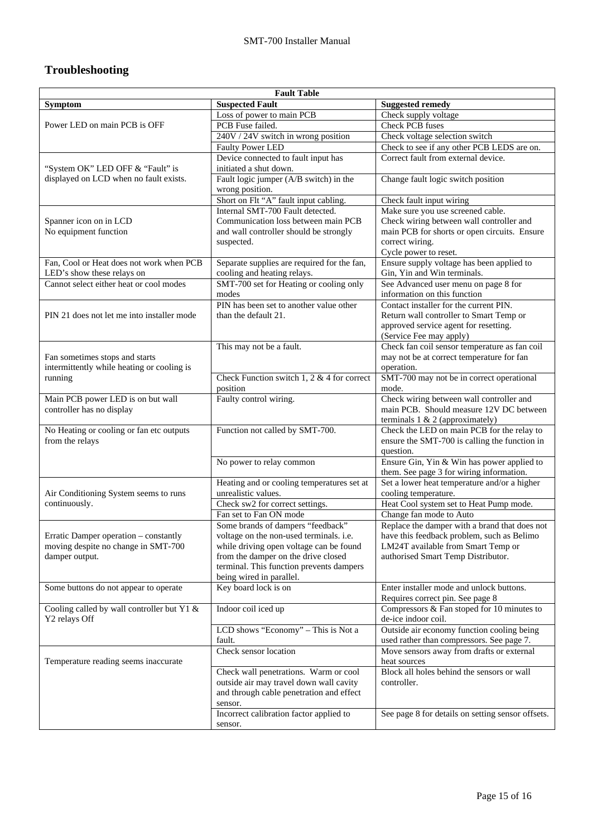# **Troubleshooting**

| <b>Fault Table</b>                         |                                                           |                                                                                |  |  |  |  |  |  |
|--------------------------------------------|-----------------------------------------------------------|--------------------------------------------------------------------------------|--|--|--|--|--|--|
| <b>Symptom</b>                             | <b>Suspected Fault</b>                                    | <b>Suggested remedy</b>                                                        |  |  |  |  |  |  |
|                                            | Loss of power to main PCB                                 | Check supply voltage                                                           |  |  |  |  |  |  |
| Power LED on main PCB is OFF               | PCB Fuse failed.                                          | <b>Check PCB</b> fuses                                                         |  |  |  |  |  |  |
|                                            | 240V / 24V switch in wrong position                       | Check voltage selection switch                                                 |  |  |  |  |  |  |
|                                            | Faulty Power LED                                          | Check to see if any other PCB LEDS are on.                                     |  |  |  |  |  |  |
|                                            | Device connected to fault input has                       | Correct fault from external device.                                            |  |  |  |  |  |  |
| "System OK" LED OFF & "Fault" is           | initiated a shut down.                                    |                                                                                |  |  |  |  |  |  |
| displayed on LCD when no fault exists.     | Fault logic jumper (A/B switch) in the<br>wrong position. | Change fault logic switch position                                             |  |  |  |  |  |  |
|                                            | Short on Flt "A" fault input cabling.                     | Check fault input wiring                                                       |  |  |  |  |  |  |
|                                            | Internal SMT-700 Fault detected.                          | Make sure you use screened cable.                                              |  |  |  |  |  |  |
| Spanner icon on in LCD                     | Communication loss between main PCB                       | Check wiring between wall controller and                                       |  |  |  |  |  |  |
| No equipment function                      | and wall controller should be strongly                    | main PCB for shorts or open circuits. Ensure                                   |  |  |  |  |  |  |
|                                            | suspected.                                                | correct wiring.                                                                |  |  |  |  |  |  |
|                                            |                                                           | Cycle power to reset.                                                          |  |  |  |  |  |  |
| Fan, Cool or Heat does not work when PCB   | Separate supplies are required for the fan,               | Ensure supply voltage has been applied to                                      |  |  |  |  |  |  |
| LED's show these relays on                 | cooling and heating relays.                               | Gin, Yin and Win terminals.                                                    |  |  |  |  |  |  |
| Cannot select either heat or cool modes    | SMT-700 set for Heating or cooling only<br>modes          | See Advanced user menu on page 8 for<br>information on this function           |  |  |  |  |  |  |
|                                            | PIN has been set to another value other                   | Contact installer for the current PIN.                                         |  |  |  |  |  |  |
| PIN 21 does not let me into installer mode | than the default 21.                                      | Return wall controller to Smart Temp or                                        |  |  |  |  |  |  |
|                                            |                                                           | approved service agent for resetting.                                          |  |  |  |  |  |  |
|                                            |                                                           | (Service Fee may apply)                                                        |  |  |  |  |  |  |
|                                            | This may not be a fault.                                  | Check fan coil sensor temperature as fan coil                                  |  |  |  |  |  |  |
| Fan sometimes stops and starts             |                                                           | may not be at correct temperature for fan                                      |  |  |  |  |  |  |
| intermittently while heating or cooling is |                                                           | operation.                                                                     |  |  |  |  |  |  |
| running                                    | Check Function switch 1, 2 $&$ 4 for correct              | SMT-700 may not be in correct operational                                      |  |  |  |  |  |  |
|                                            | position                                                  | mode.                                                                          |  |  |  |  |  |  |
| Main PCB power LED is on but wall          | Faulty control wiring.                                    | Check wiring between wall controller and                                       |  |  |  |  |  |  |
| controller has no display                  |                                                           | main PCB. Should measure 12V DC between                                        |  |  |  |  |  |  |
|                                            |                                                           | terminals 1 & 2 (approximately)                                                |  |  |  |  |  |  |
| No Heating or cooling or fan etc outputs   | Function not called by SMT-700.                           | Check the LED on main PCB for the relay to                                     |  |  |  |  |  |  |
| from the relays                            |                                                           | ensure the SMT-700 is calling the function in                                  |  |  |  |  |  |  |
|                                            |                                                           | question.                                                                      |  |  |  |  |  |  |
|                                            | No power to relay common                                  | Ensure Gin, Yin & Win has power applied to                                     |  |  |  |  |  |  |
|                                            |                                                           | them. See page 3 for wiring information.                                       |  |  |  |  |  |  |
|                                            | Heating and or cooling temperatures set at                | Set a lower heat temperature and/or a higher                                   |  |  |  |  |  |  |
| Air Conditioning System seems to runs      | unrealistic values.                                       | cooling temperature.                                                           |  |  |  |  |  |  |
| continuously.                              | Check sw2 for correct settings.                           | Heat Cool system set to Heat Pump mode.                                        |  |  |  |  |  |  |
|                                            | Fan set to Fan ON mode                                    | Change fan mode to Auto                                                        |  |  |  |  |  |  |
|                                            | Some brands of dampers "feedback"                         | Replace the damper with a brand that does not                                  |  |  |  |  |  |  |
| Erratic Damper operation – constantly      | voltage on the non-used terminals. <i>i.e.</i>            | have this feedback problem, such as Belimo                                     |  |  |  |  |  |  |
| moving despite no change in SMT-700        | while driving open voltage can be found                   | LM24T available from Smart Temp or                                             |  |  |  |  |  |  |
| damper output.                             | from the damper on the drive closed                       | authorised Smart Temp Distributor.                                             |  |  |  |  |  |  |
|                                            | terminal. This function prevents dampers                  |                                                                                |  |  |  |  |  |  |
|                                            | being wired in parallel.                                  |                                                                                |  |  |  |  |  |  |
| Some buttons do not appear to operate      | Key board lock is on                                      | Enter installer mode and unlock buttons.                                       |  |  |  |  |  |  |
| Cooling called by wall controller but Y1 & | Indoor coil iced up                                       | Requires correct pin. See page 8<br>Compressors & Fan stoped for 10 minutes to |  |  |  |  |  |  |
| Y2 relays Off                              |                                                           | de-ice indoor coil.                                                            |  |  |  |  |  |  |
|                                            | LCD shows "Economy" - This is Not a                       | Outside air economy function cooling being                                     |  |  |  |  |  |  |
|                                            | fault.                                                    | used rather than compressors. See page 7.                                      |  |  |  |  |  |  |
|                                            | Check sensor location                                     | Move sensors away from drafts or external                                      |  |  |  |  |  |  |
| Temperature reading seems inaccurate       |                                                           | heat sources                                                                   |  |  |  |  |  |  |
|                                            | Check wall penetrations. Warm or cool                     | Block all holes behind the sensors or wall                                     |  |  |  |  |  |  |
|                                            | outside air may travel down wall cavity                   | controller.                                                                    |  |  |  |  |  |  |
|                                            | and through cable penetration and effect                  |                                                                                |  |  |  |  |  |  |
|                                            | sensor.                                                   |                                                                                |  |  |  |  |  |  |
|                                            | Incorrect calibration factor applied to                   | See page 8 for details on setting sensor offsets.                              |  |  |  |  |  |  |
|                                            | sensor.                                                   |                                                                                |  |  |  |  |  |  |